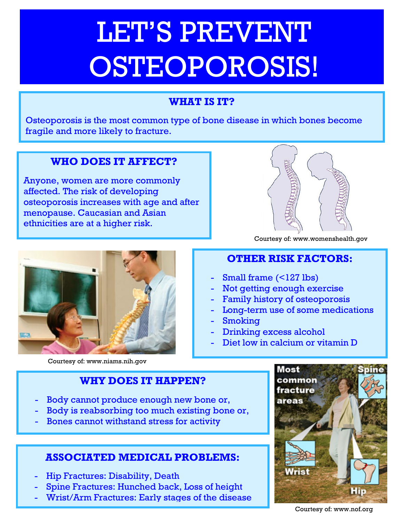# LET'S PREVENT OSTEOPOROSIS!

# **WHAT IS IT?**

Osteoporosis is the most common type of bone disease in which bones become fragile and more likely to fracture.

# **WHO DOES IT AFFECT?**

Anyone, women are more commonly affected. The risk of developing osteoporosis increases with age and after menopause. Caucasian and Asian ethnicities are at a higher risk.



Courtesy of: www.womenshealth.gov



Courtesy of: www.niams.nih.gov

# **OTHER RISK FACTORS:**

- Small frame (<127 lbs)
- Not getting enough exercise
- Family history of osteoporosis
- Long-term use of some medications
- Smoking
- Drinking excess alcohol
- Diet low in calcium or vitamin D

# **WHY DOES IT HAPPEN?**

- Body cannot produce enough new bone or,
- Body is reabsorbing too much existing bone or,
- Bones cannot withstand stress for activity

# **ASSOCIATED MEDICAL PROBLEMS:**

- Hip Fractures: Disability, Death
- Spine Fractures: Hunched back, Loss of height
- Wrist/Arm Fractures: Early stages of the disease



Courtesy of: www.nof.org